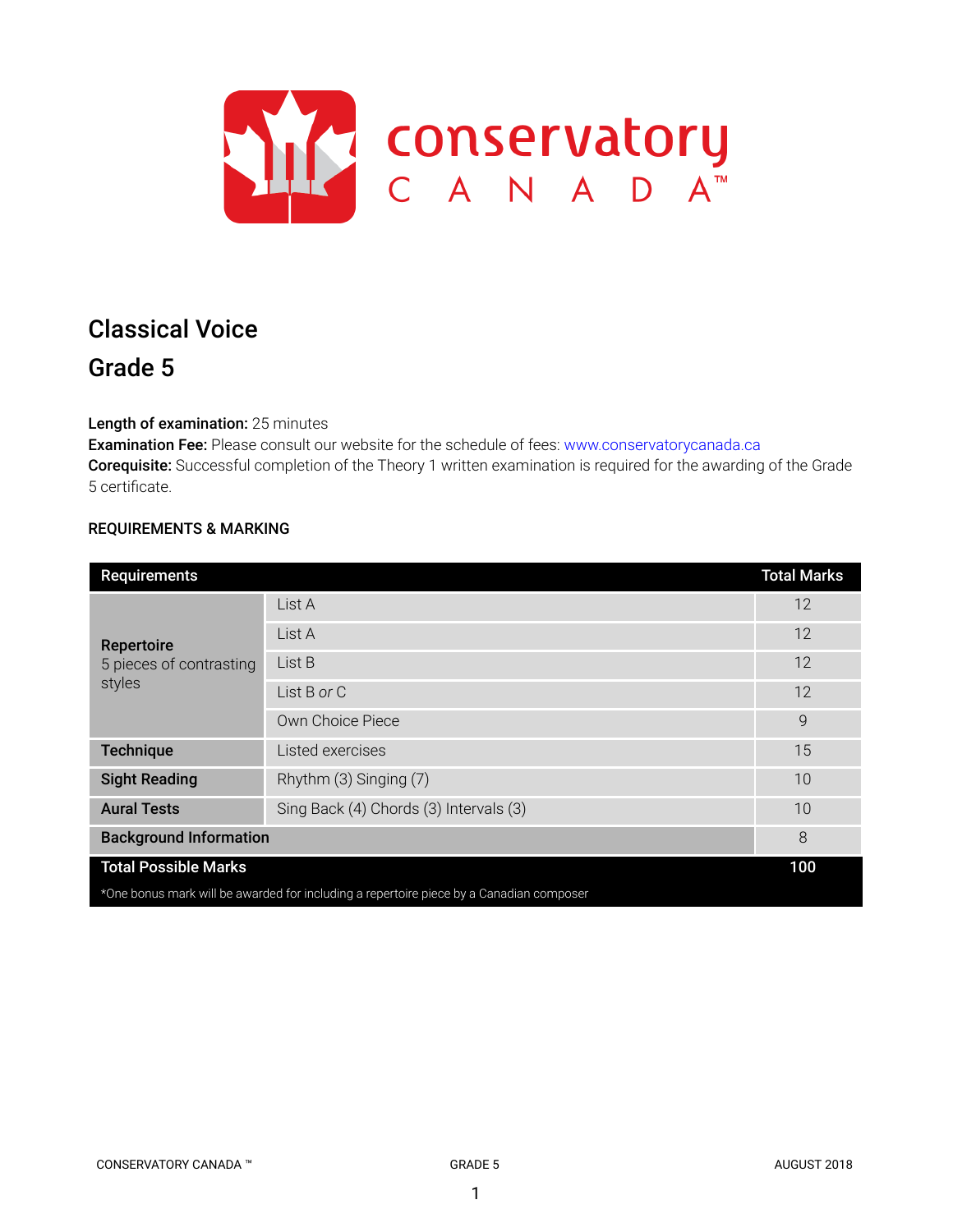

# Classical Voice Grade 5

Length of examination: 25 minutes

Examination Fee: Please consult our website for the schedule of fees: www.conservatorycanada.ca Corequisite: Successful completion of the Theory 1 written examination is required for the awarding of the Grade 5 certificate.

# REQUIREMENTS & MARKING

| <b>Requirements</b>                                                                     |                                        | <b>Total Marks</b> |  |
|-----------------------------------------------------------------------------------------|----------------------------------------|--------------------|--|
| <b>Repertoire</b><br>5 pieces of contrasting<br>styles                                  | List A                                 | 12                 |  |
|                                                                                         | List A                                 | 12                 |  |
|                                                                                         | List B                                 | 12                 |  |
|                                                                                         | List B or C                            | 12                 |  |
|                                                                                         | Own Choice Piece                       | $\mathsf{Q}$       |  |
| <b>Technique</b>                                                                        | Listed exercises                       | 15                 |  |
| <b>Sight Reading</b>                                                                    | Rhythm (3) Singing (7)                 | 10                 |  |
| <b>Aural Tests</b>                                                                      | Sing Back (4) Chords (3) Intervals (3) | 10                 |  |
| <b>Background Information</b>                                                           |                                        | 8                  |  |
| <b>Total Possible Marks</b>                                                             |                                        |                    |  |
| *One bonus mark will be awarded for including a repertoire piece by a Canadian composer |                                        |                    |  |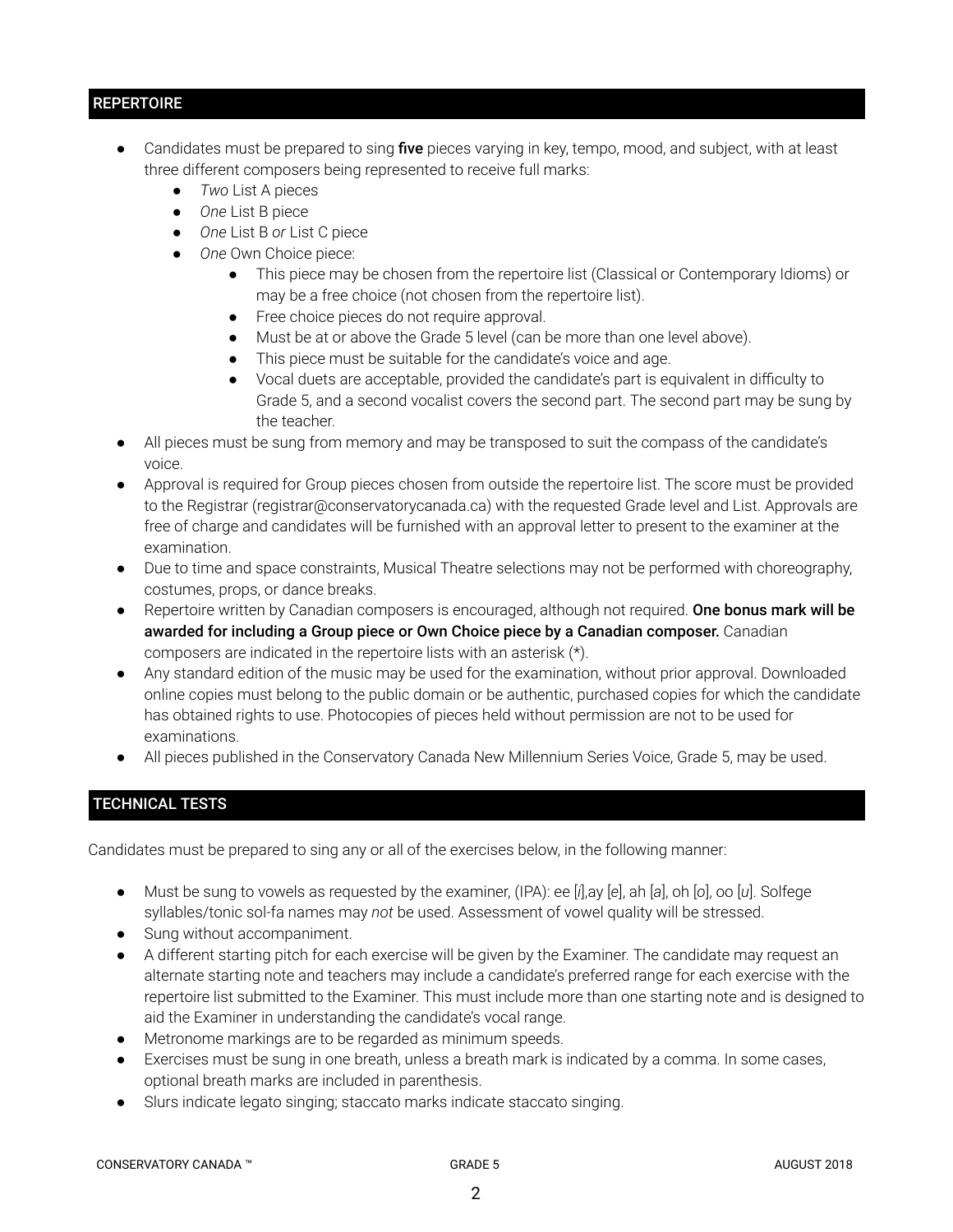# **REPERTOIRE**

- Candidates must be prepared to sing five pieces varying in key, tempo, mood, and subject, with at least three different composers being represented to receive full marks:
	- *Two* List A pieces
	- *One* List B piece
	- *One* List B *or* List C piece
	- *One* Own Choice piece:
		- This piece may be chosen from the repertoire list (Classical or Contemporary Idioms) or may be a free choice (not chosen from the repertoire list).
		- Free choice pieces do not require approval.
		- Must be at or above the Grade 5 level (can be more than one level above).
		- This piece must be suitable for the candidate's voice and age.
		- Vocal duets are acceptable, provided the candidate's part is equivalent in difficulty to Grade 5, and a second vocalist covers the second part. The second part may be sung by the teacher.
- All pieces must be sung from memory and may be transposed to suit the compass of the candidate's voice.
- Approval is required for Group pieces chosen from outside the repertoire list. The score must be provided to the Registrar (registrar@conservatorycanada.ca) with the requested Grade level and List. Approvals are free of charge and candidates will be furnished with an approval letter to present to the examiner at the examination.
- Due to time and space constraints, Musical Theatre selections may not be performed with choreography, costumes, props, or dance breaks.
- Repertoire written by Canadian composers is encouraged, although not required. One bonus mark will be awarded for including a Group piece or Own Choice piece by a Canadian composer. Canadian composers are indicated in the repertoire lists with an asterisk (\*).
- Any standard edition of the music may be used for the examination, without prior approval. Downloaded online copies must belong to the public domain or be authentic, purchased copies for which the candidate has obtained rights to use. Photocopies of pieces held without permission are not to be used for examinations.
- All pieces published in the Conservatory Canada New Millennium Series Voice, Grade 5, may be used.

# TECHNICAL TESTS

Candidates must be prepared to sing any or all of the exercises below, in the following manner:

- Must be sung to vowels as requested by the examiner, (IPA): ee [*i*],ay [*e*], ah [*a*], oh [*o*], oo [*u*]. Solfege syllables/tonic sol-fa names may *not* be used. Assessment of vowel quality will be stressed.
- Sung without accompaniment.
- A different starting pitch for each exercise will be given by the Examiner. The candidate may request an alternate starting note and teachers may include a candidate's preferred range for each exercise with the repertoire list submitted to the Examiner. This must include more than one starting note and is designed to aid the Examiner in understanding the candidate's vocal range.
- Metronome markings are to be regarded as minimum speeds.
- Exercises must be sung in one breath, unless a breath mark is indicated by a comma. In some cases, optional breath marks are included in parenthesis.
- Slurs indicate legato singing; staccato marks indicate staccato singing.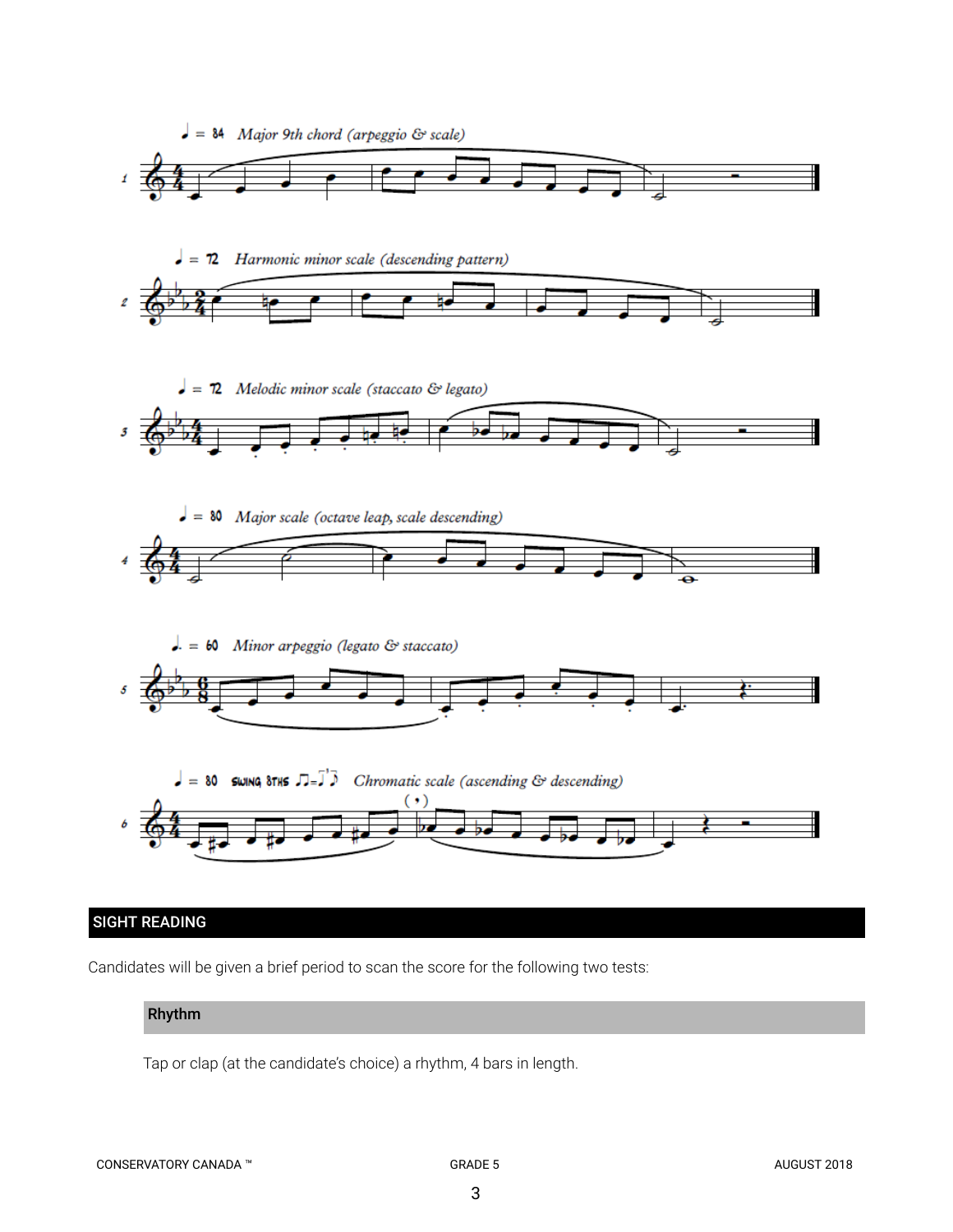

# SIGHT READING

Candidates will be given a brief period to scan the score for the following two tests:

# Rhythm

Tap or clap (at the candidate's choice) a rhythm, 4 bars in length.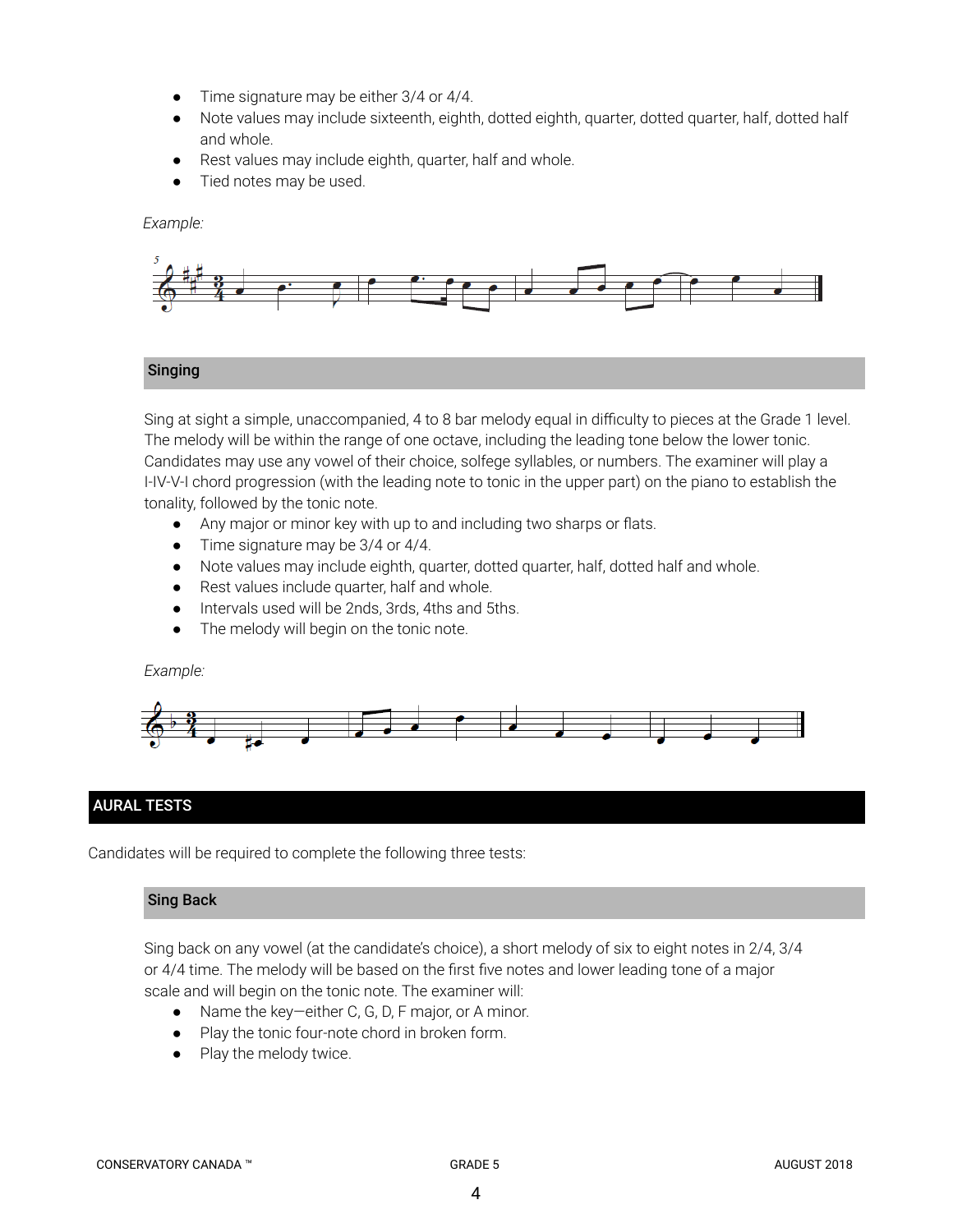- Time signature may be either 3/4 or 4/4.
- Note values may include sixteenth, eighth, dotted eighth, quarter, dotted quarter, half, dotted half and whole.
- Rest values may include eighth, quarter, half and whole.
- Tied notes may be used.

*Example:*



# Singing

Sing at sight a simple, unaccompanied, 4 to 8 bar melody equal in difficulty to pieces at the Grade 1 level. The melody will be within the range of one octave, including the leading tone below the lower tonic. Candidates may use any vowel of their choice, solfege syllables, or numbers. The examiner will play a I-IV-V-I chord progression (with the leading note to tonic in the upper part) on the piano to establish the tonality, followed by the tonic note.

- *●* Any major or minor key with up to and including two sharps or flats.
- *●* Time signature may be 3/4 or 4/4.
- Note values may include eighth, quarter, dotted quarter, half, dotted half and whole.
- Rest values include quarter, half and whole.
- Intervals used will be 2nds, 3rds, 4ths and 5ths.
- The melody will begin on the tonic note.

## *Example:*



# AURAL TESTS

Candidates will be required to complete the following three tests:

# Sing Back

Sing back on any vowel (at the candidate's choice), a short melody of six to eight notes in 2/4, 3/4 or 4/4 time. The melody will be based on the first five notes and lower leading tone of a major scale and will begin on the tonic note. The examiner will:

- Name the key—either C, G, D, F major, or A minor.
- Play the tonic four-note chord in broken form.
- Play the melody twice.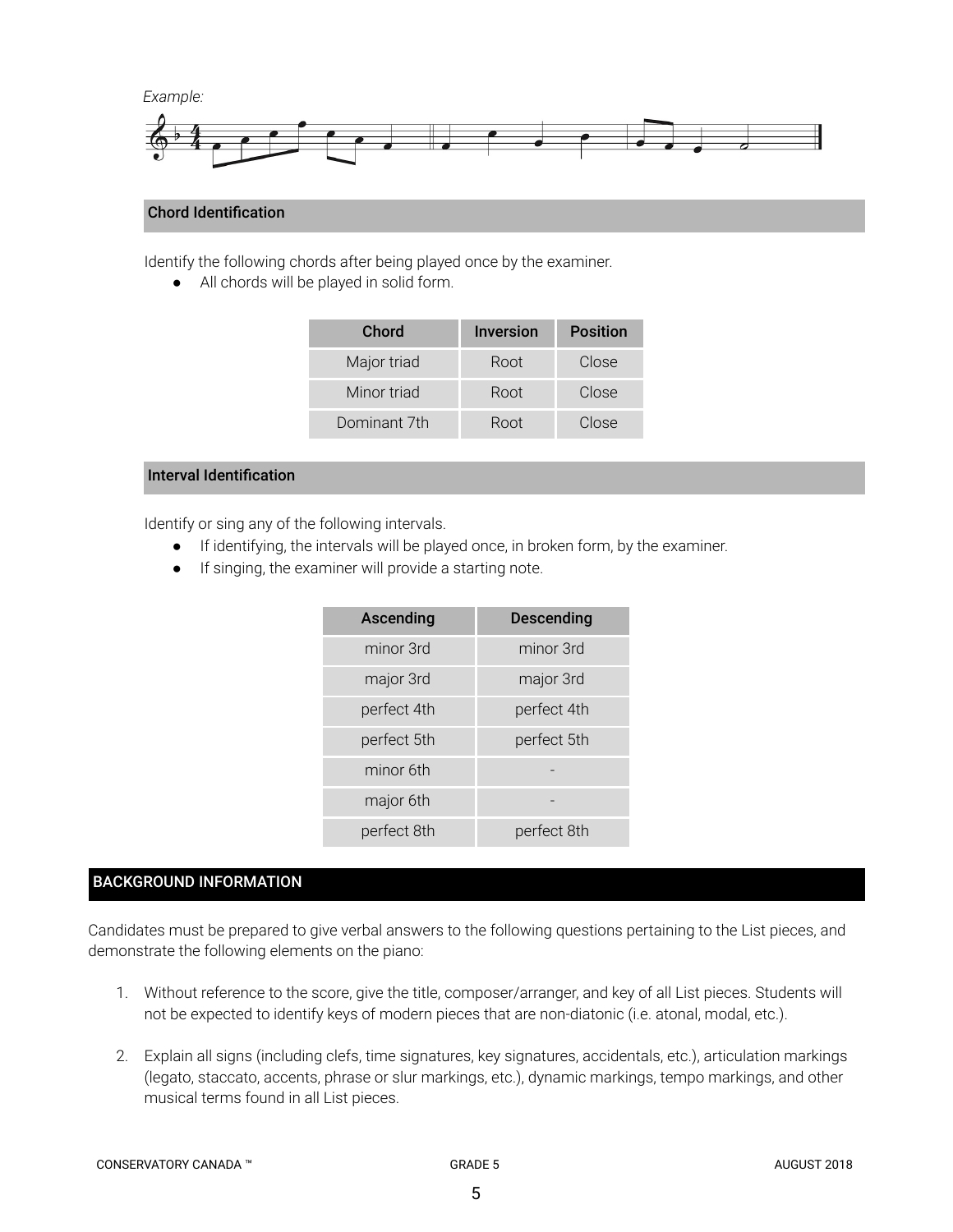

# Chord Identification

Identify the following chords after being played once by the examiner.

● All chords will be played in solid form.

| Chord        | <b>Inversion</b> | <b>Position</b> |
|--------------|------------------|-----------------|
| Major triad  | Root             | Close           |
| Minor triad  | Root             | Close           |
| Dominant 7th | Root             | Close           |

# Interval Identification

Identify or sing any of the following intervals.

- If identifying, the intervals will be played once, in broken form, by the examiner.
- If singing, the examiner will provide a starting note.

| Ascending   | <b>Descending</b> |  |
|-------------|-------------------|--|
| minor 3rd   | minor 3rd         |  |
| major 3rd   | major 3rd         |  |
| perfect 4th | perfect 4th       |  |
| perfect 5th | perfect 5th       |  |
| minor 6th   |                   |  |
| major 6th   |                   |  |
| perfect 8th | perfect 8th       |  |

# BACKGROUND INFORMATION

Candidates must be prepared to give verbal answers to the following questions pertaining to the List pieces, and demonstrate the following elements on the piano:

- 1. Without reference to the score, give the title, composer/arranger, and key of all List pieces. Students will not be expected to identify keys of modern pieces that are non-diatonic (i.e. atonal, modal, etc.).
- 2. Explain all signs (including clefs, time signatures, key signatures, accidentals, etc.), articulation markings (legato, staccato, accents, phrase or slur markings, etc.), dynamic markings, tempo markings, and other musical terms found in all List pieces.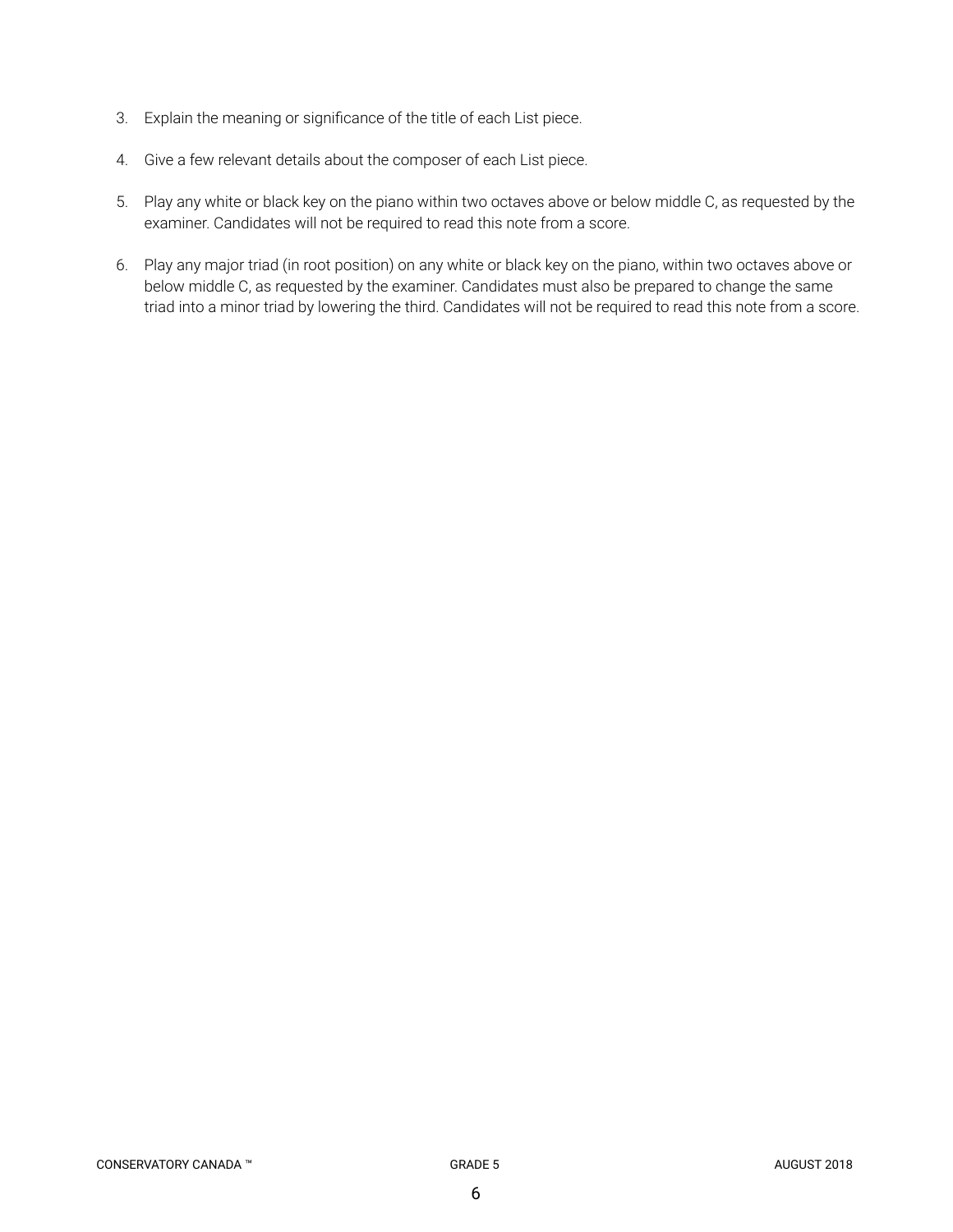- 3. Explain the meaning or significance of the title of each List piece.
- 4. Give a few relevant details about the composer of each List piece.
- 5. Play any white or black key on the piano within two octaves above or below middle C, as requested by the examiner. Candidates will not be required to read this note from a score.
- 6. Play any major triad (in root position) on any white or black key on the piano, within two octaves above or below middle C, as requested by the examiner. Candidates must also be prepared to change the same triad into a minor triad by lowering the third. Candidates will not be required to read this note from a score.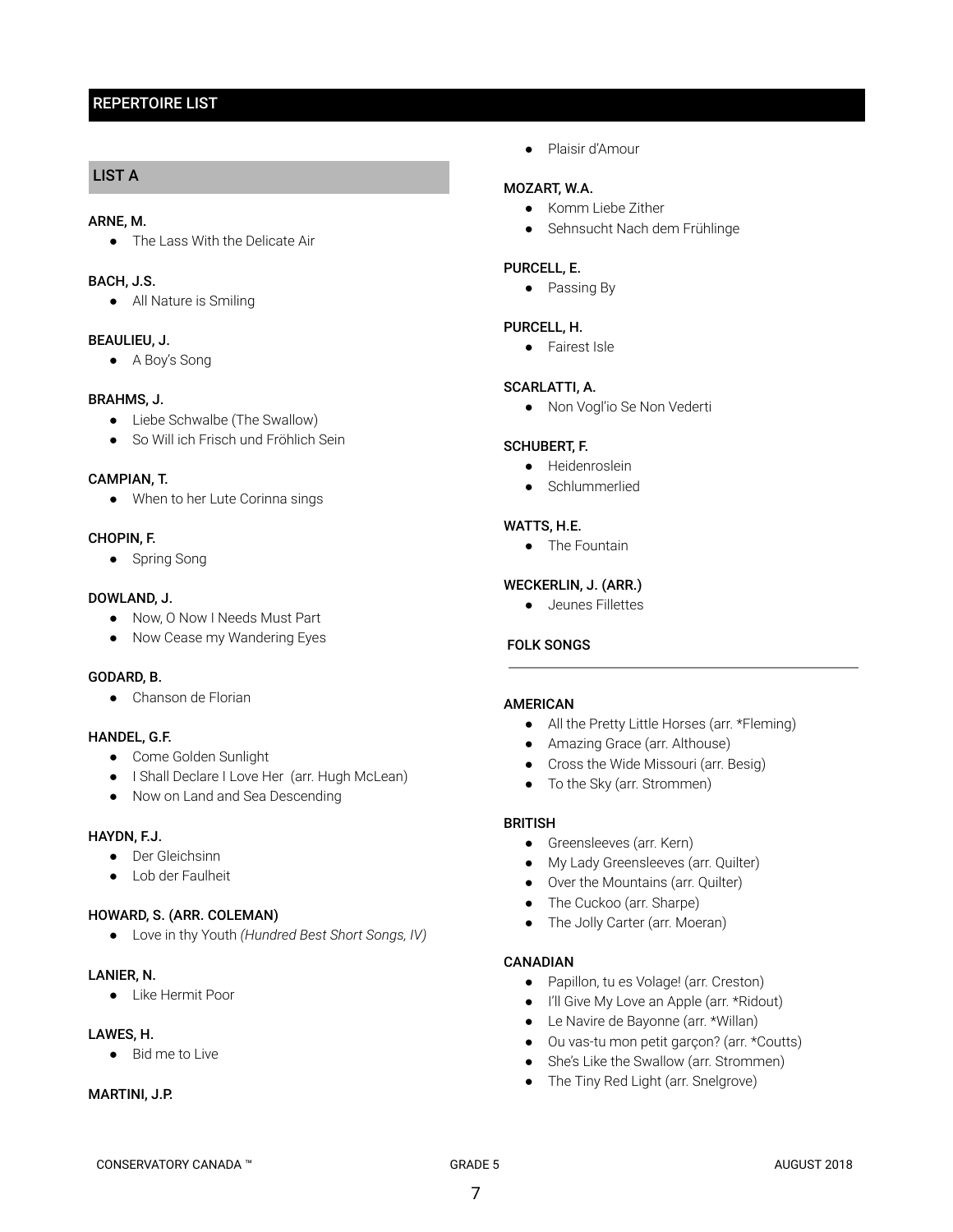# REPERTOIRE LIST

# LIST A

#### ARNE, M.

● The Lass With the Delicate Air

#### BACH, J.S.

● All Nature is Smiling

#### BEAULIEU, J.

● A Boy's Song

#### BRAHMS, J.

- Liebe Schwalbe (The Swallow)
- So Will ich Frisch und Fröhlich Sein

#### CAMPIAN, T.

● When to her Lute Corinna sings

#### CHOPIN, F.

● Spring Song

#### DOWLAND, J.

- Now, O Now I Needs Must Part
- Now Cease my Wandering Eyes

## GODARD, B.

● Chanson de Florian

## HANDEL, G.F.

- Come Golden Sunlight
- I Shall Declare I Love Her (arr. Hugh McLean)
- Now on Land and Sea Descending

#### HAYDN, F.J.

- Der Gleichsinn
- Lob der Faulheit

## HOWARD, S. (ARR. COLEMAN)

● Love in thy Youth *(Hundred Best Short Songs, IV)*

#### LANIER, N.

● Like Hermit Poor

## LAWES, H.

● Bid me to Live

#### MARTINI, J.P.

● Plaisir d'Amour

# MOZART, W.A.

- Komm Liebe Zither
- Sehnsucht Nach dem Frühlinge

#### PURCELL, E.

● Passing By

## PURCELL, H.

● Fairest Isle

#### SCARLATTI, A.

● Non Vogl'io Se Non Vederti

#### SCHUBERT, F.

- Heidenroslein
- Schlummerlied

## WATTS, H.E.

● The Fountain

# WECKERLIN, J. (ARR.)

● Jeunes Fillettes

## FOLK SONGS

## AMERICAN

- All the Pretty Little Horses (arr. \*Fleming)
- Amazing Grace (arr. Althouse)
- Cross the Wide Missouri (arr. Besig)
- To the Sky (arr. Strommen)

## BRITISH

- Greensleeves (arr. Kern)
- My Lady Greensleeves (arr. Quilter)
- Over the Mountains (arr. Quilter)
- The Cuckoo (arr. Sharpe)
- The Jolly Carter (arr. Moeran)

#### CANADIAN

- Papillon, tu es Volage! (arr. Creston)
- I'll Give My Love an Apple (arr. \*Ridout)
- Le Navire de Bayonne (arr. \*Willan)
- Ou vas-tu mon petit garçon? (arr. \*Coutts)
- She's Like the Swallow (arr. Strommen)
- The Tiny Red Light (arr. Snelgrove)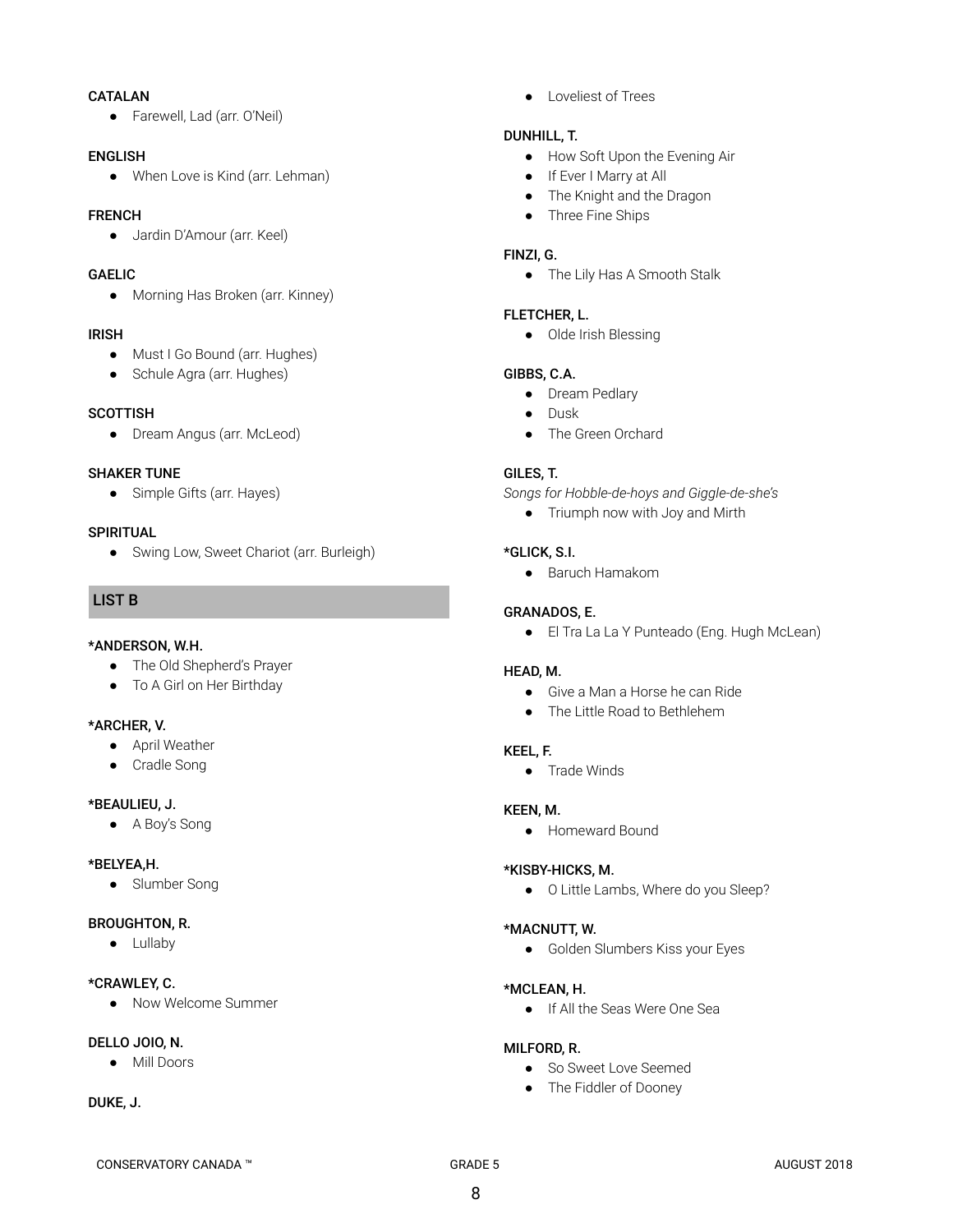## CATALAN

● Farewell, Lad (arr. O'Neil)

#### ENGLISH

● When Love is Kind (arr. Lehman)

## FRENCH

● Jardin D'Amour (arr. Keel)

# GAELIC

• Morning Has Broken (arr. Kinney)

#### IRISH

- Must I Go Bound (arr. Hughes)
- Schule Agra (arr. Hughes)

## **SCOTTISH**

● Dream Angus (arr. McLeod)

#### SHAKER TUNE

● Simple Gifts (arr. Hayes)

#### **SPIRITUAL**

● Swing Low, Sweet Chariot (arr. Burleigh)

# LIST B

## \*ANDERSON, W.H.

- The Old Shepherd's Prayer
- To A Girl on Her Birthday

## \*ARCHER, V.

- April Weather
- Cradle Song

## \*BEAULIEU, J.

● A Boy's Song

## \*BELYEA,H.

● Slumber Song

## BROUGHTON, R.

● Lullaby

## \*CRAWLEY, C.

● Now Welcome Summer

## DELLO JOIO, N.

● Mill Doors

## DUKE, J.

● Loveliest of Trees

## DUNHILL, T.

- How Soft Upon the Evening Air
- If Ever I Marry at All
- The Knight and the Dragon
- Three Fine Ships

## FINZI, G.

● The Lily Has A Smooth Stalk

## FLETCHER, L.

● Olde Irish Blessing

## GIBBS, C.A.

- Dream Pedlary
- Dusk
- The Green Orchard

## GILES, T.

- *Songs for Hobble-de-hoys and Giggle-de-she's*
	- Triumph now with Joy and Mirth

## \*GLICK, S.I.

● Baruch Hamakom

## GRANADOS, E.

● El Tra La La Y Punteado (Eng. Hugh McLean)

## HEAD, M.

- Give a Man a Horse he can Ride
- The Little Road to Bethlehem

## KEEL, F.

● Trade Winds

## KEEN, M.

● Homeward Bound

## \*KISBY-HICKS, M.

● O Little Lambs, Where do you Sleep?

## \*MACNUTT, W.

● Golden Slumbers Kiss your Eyes

## \*MCLEAN, H.

● If All the Seas Were One Sea

## MILFORD, R.

- So Sweet Love Seemed
- The Fiddler of Dooney